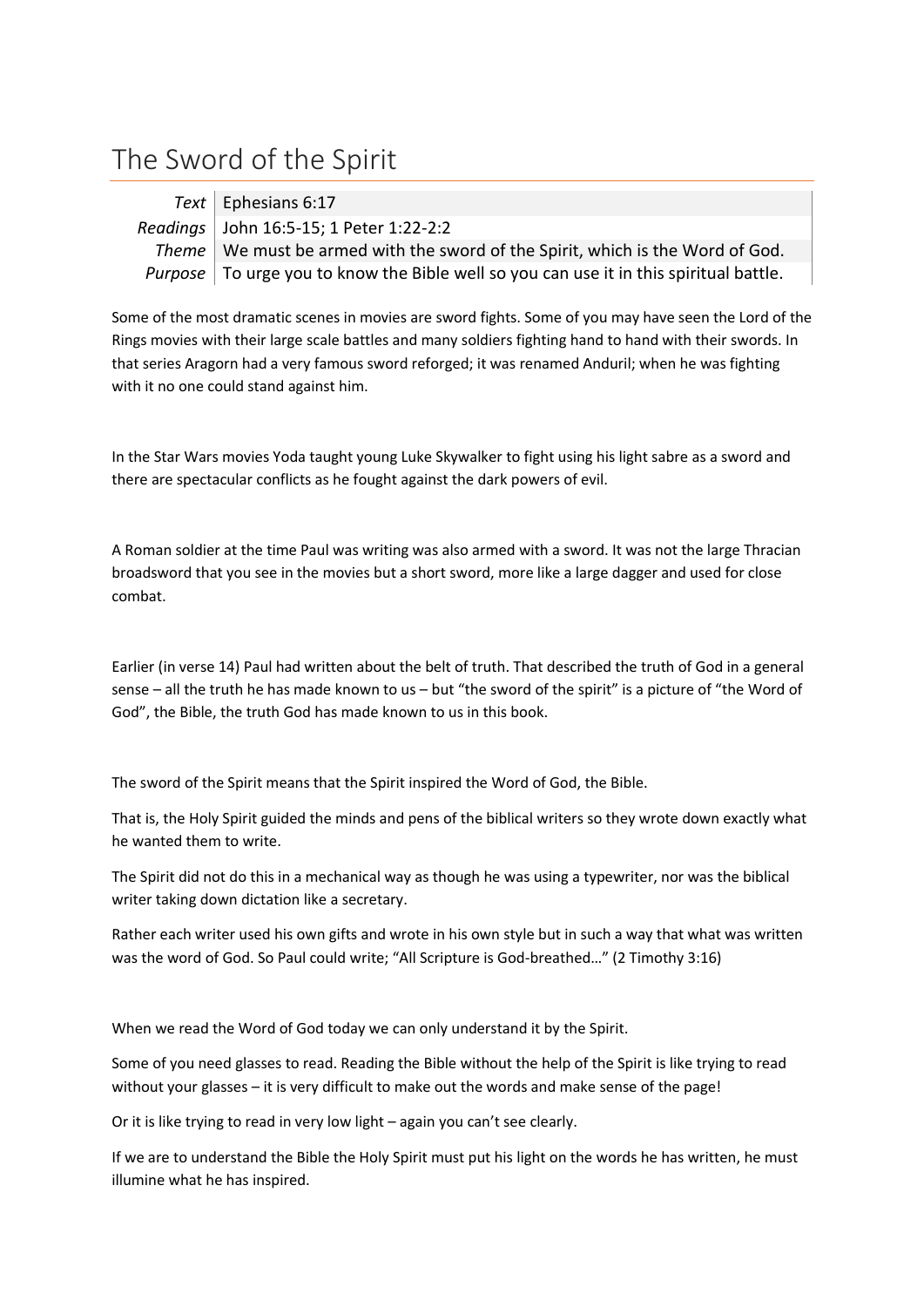## The Sword of the Spirit

| Text   Ephesians 6:17                                                                                 |
|-------------------------------------------------------------------------------------------------------|
| Readings   John 16:5-15; 1 Peter 1:22-2:2                                                             |
| Theme   We must be armed with the sword of the Spirit, which is the Word of God.                      |
| <i>Purpose</i> $\vert$ To urge you to know the Bible well so you can use it in this spiritual battle. |

Some of the most dramatic scenes in movies are sword fights. Some of you may have seen the Lord of the Rings movies with their large scale battles and many soldiers fighting hand to hand with their swords. In that series Aragorn had a very famous sword reforged; it was renamed Anduril; when he was fighting with it no one could stand against him.

In the Star Wars movies Yoda taught young Luke Skywalker to fight using his light sabre as a sword and there are spectacular conflicts as he fought against the dark powers of evil.

A Roman soldier at the time Paul was writing was also armed with a sword. It was not the large Thracian broadsword that you see in the movies but a short sword, more like a large dagger and used for close combat.

Earlier (in verse 14) Paul had written about the belt of truth. That described the truth of God in a general sense – all the truth he has made known to us – but "the sword of the spirit" is a picture of "the Word of God", the Bible, the truth God has made known to us in this book.

The sword of the Spirit means that the Spirit inspired the Word of God, the Bible.

That is, the Holy Spirit guided the minds and pens of the biblical writers so they wrote down exactly what he wanted them to write.

The Spirit did not do this in a mechanical way as though he was using a typewriter, nor was the biblical writer taking down dictation like a secretary.

Rather each writer used his own gifts and wrote in his own style but in such a way that what was written was the word of God. So Paul could write; "All Scripture is God-breathed…" (2 Timothy 3:16)

When we read the Word of God today we can only understand it by the Spirit.

Some of you need glasses to read. Reading the Bible without the help of the Spirit is like trying to read without your glasses – it is very difficult to make out the words and make sense of the page!

Or it is like trying to read in very low light – again you can't see clearly.

If we are to understand the Bible the Holy Spirit must put his light on the words he has written, he must illumine what he has inspired.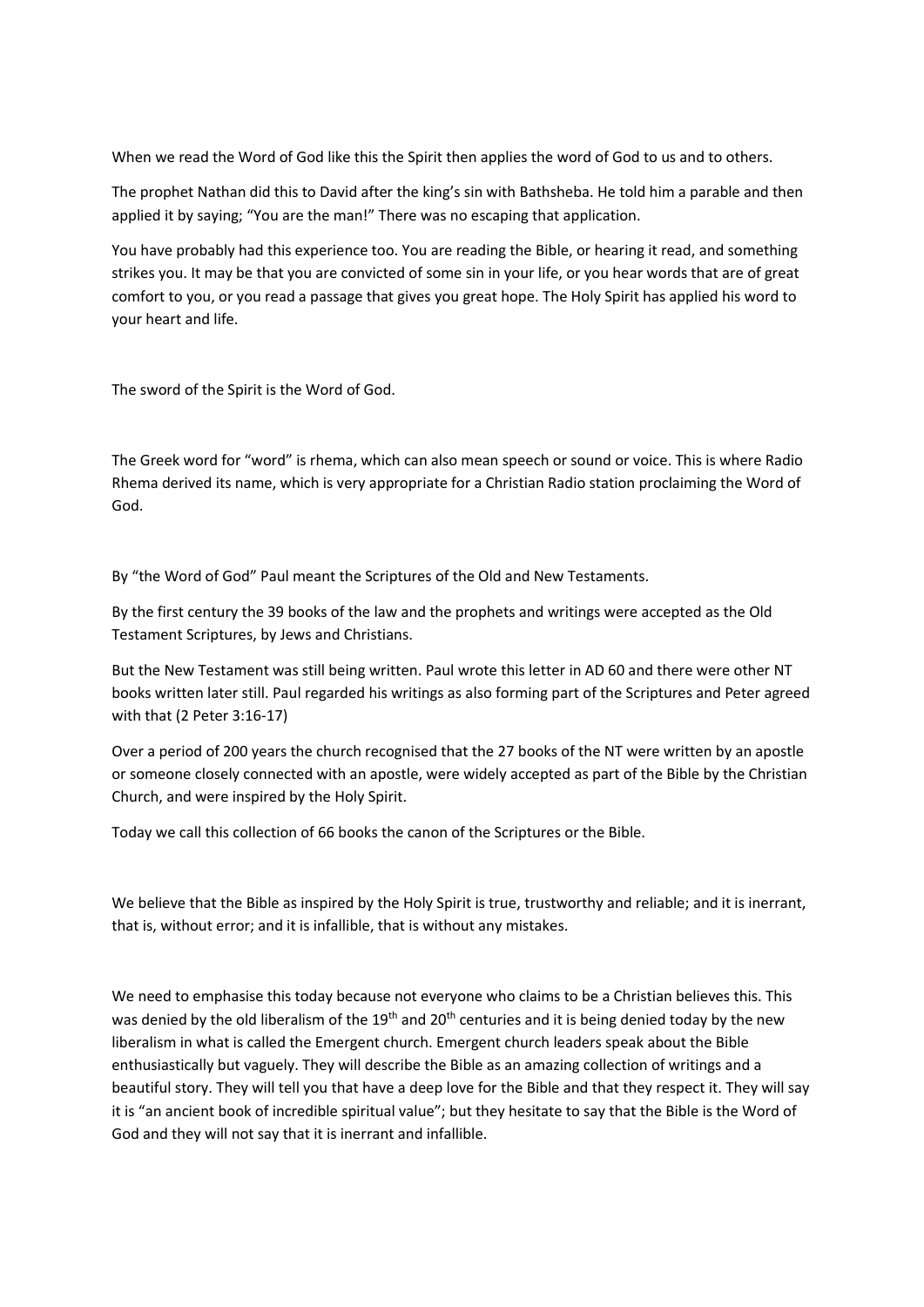When we read the Word of God like this the Spirit then applies the word of God to us and to others.

The prophet Nathan did this to David after the king's sin with Bathsheba. He told him a parable and then applied it by saying; "You are the man!" There was no escaping that application.

You have probably had this experience too. You are reading the Bible, or hearing it read, and something strikes you. It may be that you are convicted of some sin in your life, or you hear words that are of great comfort to you, or you read a passage that gives you great hope. The Holy Spirit has applied his word to your heart and life.

The sword of the Spirit is the Word of God.

The Greek word for "word" is rhema, which can also mean speech or sound or voice. This is where Radio Rhema derived its name, which is very appropriate for a Christian Radio station proclaiming the Word of God.

By "the Word of God" Paul meant the Scriptures of the Old and New Testaments.

By the first century the 39 books of the law and the prophets and writings were accepted as the Old Testament Scriptures, by Jews and Christians.

But the New Testament was still being written. Paul wrote this letter in AD 60 and there were other NT books written later still. Paul regarded his writings as also forming part of the Scriptures and Peter agreed with that (2 Peter 3:16-17)

Over a period of 200 years the church recognised that the 27 books of the NT were written by an apostle or someone closely connected with an apostle, were widely accepted as part of the Bible by the Christian Church, and were inspired by the Holy Spirit.

Today we call this collection of 66 books the canon of the Scriptures or the Bible.

We believe that the Bible as inspired by the Holy Spirit is true, trustworthy and reliable; and it is inerrant, that is, without error; and it is infallible, that is without any mistakes.

We need to emphasise this today because not everyone who claims to be a Christian believes this. This was denied by the old liberalism of the 19<sup>th</sup> and 20<sup>th</sup> centuries and it is being denied today by the new liberalism in what is called the Emergent church. Emergent church leaders speak about the Bible enthusiastically but vaguely. They will describe the Bible as an amazing collection of writings and a beautiful story. They will tell you that have a deep love for the Bible and that they respect it. They will say it is "an ancient book of incredible spiritual value"; but they hesitate to say that the Bible is the Word of God and they will not say that it is inerrant and infallible.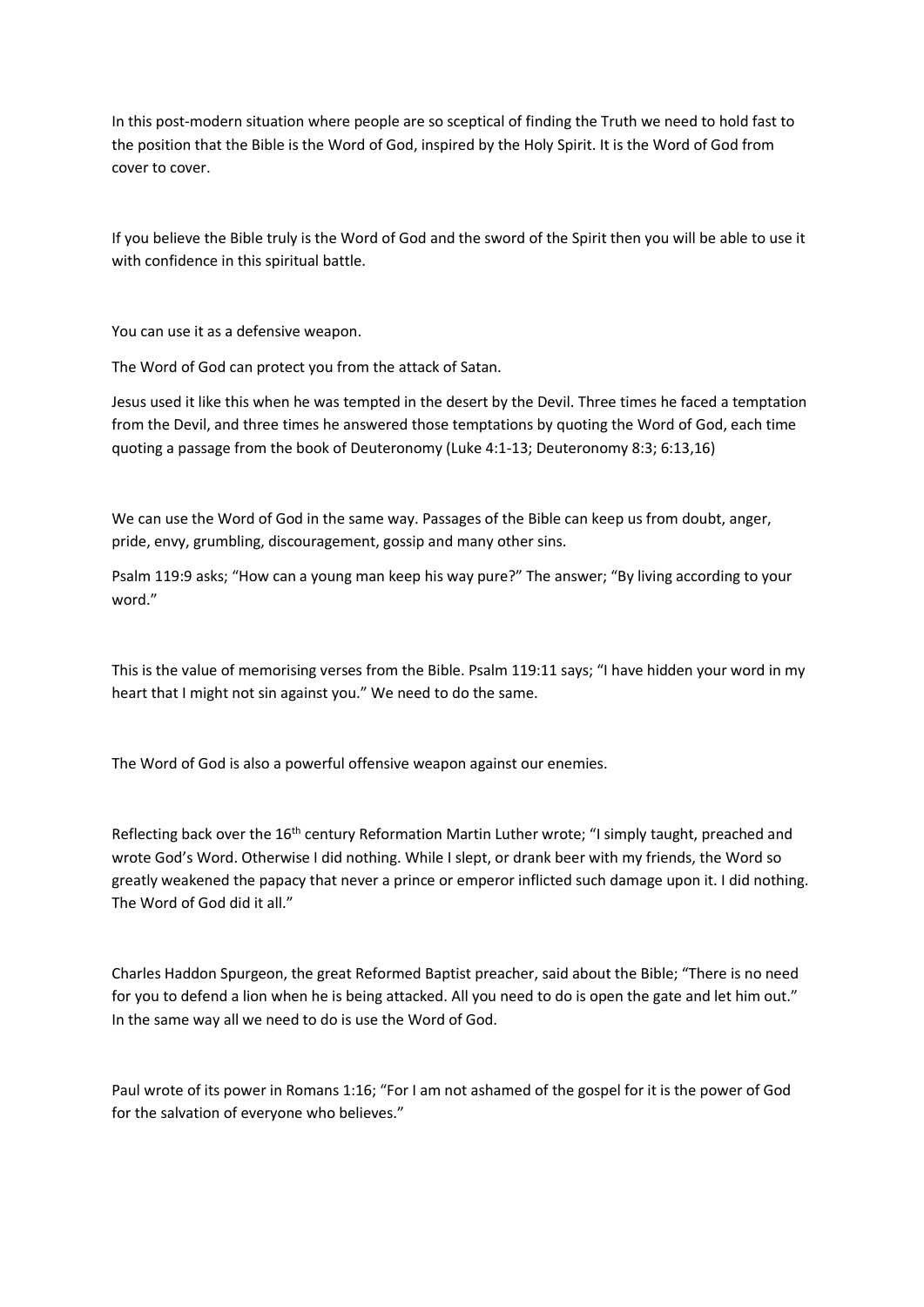In this post-modern situation where people are so sceptical of finding the Truth we need to hold fast to the position that the Bible is the Word of God, inspired by the Holy Spirit. It is the Word of God from cover to cover.

If you believe the Bible truly is the Word of God and the sword of the Spirit then you will be able to use it with confidence in this spiritual battle.

You can use it as a defensive weapon.

The Word of God can protect you from the attack of Satan.

Jesus used it like this when he was tempted in the desert by the Devil. Three times he faced a temptation from the Devil, and three times he answered those temptations by quoting the Word of God, each time quoting a passage from the book of Deuteronomy (Luke 4:1-13; Deuteronomy 8:3; 6:13,16)

We can use the Word of God in the same way. Passages of the Bible can keep us from doubt, anger, pride, envy, grumbling, discouragement, gossip and many other sins.

Psalm 119:9 asks; "How can a young man keep his way pure?" The answer; "By living according to your word."

This is the value of memorising verses from the Bible. Psalm 119:11 says; "I have hidden your word in my heart that I might not sin against you." We need to do the same.

The Word of God is also a powerful offensive weapon against our enemies.

Reflecting back over the 16<sup>th</sup> century Reformation Martin Luther wrote; "I simply taught, preached and wrote God's Word. Otherwise I did nothing. While I slept, or drank beer with my friends, the Word so greatly weakened the papacy that never a prince or emperor inflicted such damage upon it. I did nothing. The Word of God did it all."

Charles Haddon Spurgeon, the great Reformed Baptist preacher, said about the Bible; "There is no need for you to defend a lion when he is being attacked. All you need to do is open the gate and let him out." In the same way all we need to do is use the Word of God.

Paul wrote of its power in Romans 1:16; "For I am not ashamed of the gospel for it is the power of God for the salvation of everyone who believes."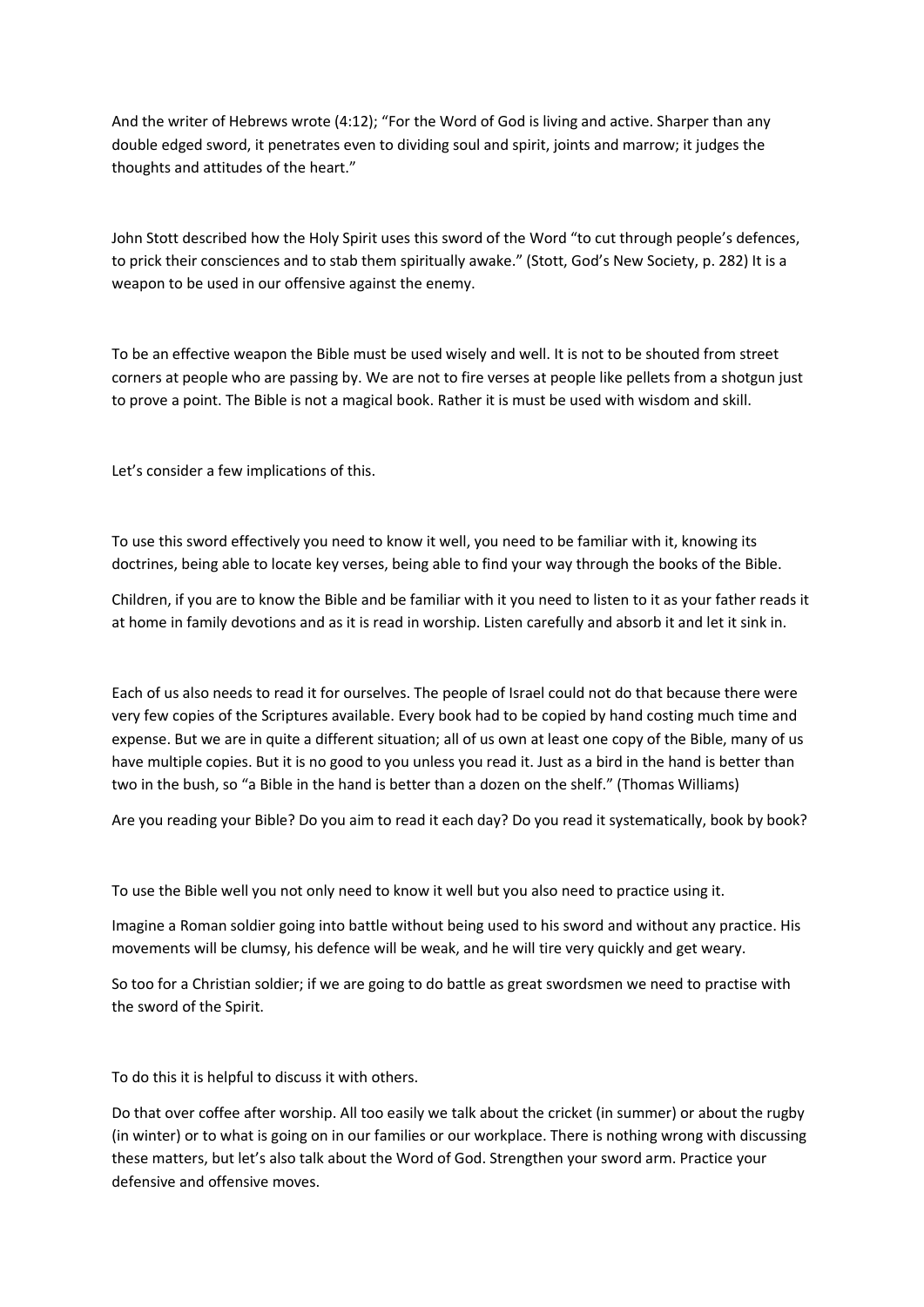And the writer of Hebrews wrote (4:12); "For the Word of God is living and active. Sharper than any double edged sword, it penetrates even to dividing soul and spirit, joints and marrow; it judges the thoughts and attitudes of the heart."

John Stott described how the Holy Spirit uses this sword of the Word "to cut through people's defences, to prick their consciences and to stab them spiritually awake." (Stott, God's New Society, p. 282) It is a weapon to be used in our offensive against the enemy.

To be an effective weapon the Bible must be used wisely and well. It is not to be shouted from street corners at people who are passing by. We are not to fire verses at people like pellets from a shotgun just to prove a point. The Bible is not a magical book. Rather it is must be used with wisdom and skill.

Let's consider a few implications of this.

To use this sword effectively you need to know it well, you need to be familiar with it, knowing its doctrines, being able to locate key verses, being able to find your way through the books of the Bible.

Children, if you are to know the Bible and be familiar with it you need to listen to it as your father reads it at home in family devotions and as it is read in worship. Listen carefully and absorb it and let it sink in.

Each of us also needs to read it for ourselves. The people of Israel could not do that because there were very few copies of the Scriptures available. Every book had to be copied by hand costing much time and expense. But we are in quite a different situation; all of us own at least one copy of the Bible, many of us have multiple copies. But it is no good to you unless you read it. Just as a bird in the hand is better than two in the bush, so "a Bible in the hand is better than a dozen on the shelf." (Thomas Williams)

Are you reading your Bible? Do you aim to read it each day? Do you read it systematically, book by book?

To use the Bible well you not only need to know it well but you also need to practice using it.

Imagine a Roman soldier going into battle without being used to his sword and without any practice. His movements will be clumsy, his defence will be weak, and he will tire very quickly and get weary.

So too for a Christian soldier; if we are going to do battle as great swordsmen we need to practise with the sword of the Spirit.

To do this it is helpful to discuss it with others.

Do that over coffee after worship. All too easily we talk about the cricket (in summer) or about the rugby (in winter) or to what is going on in our families or our workplace. There is nothing wrong with discussing these matters, but let's also talk about the Word of God. Strengthen your sword arm. Practice your defensive and offensive moves.